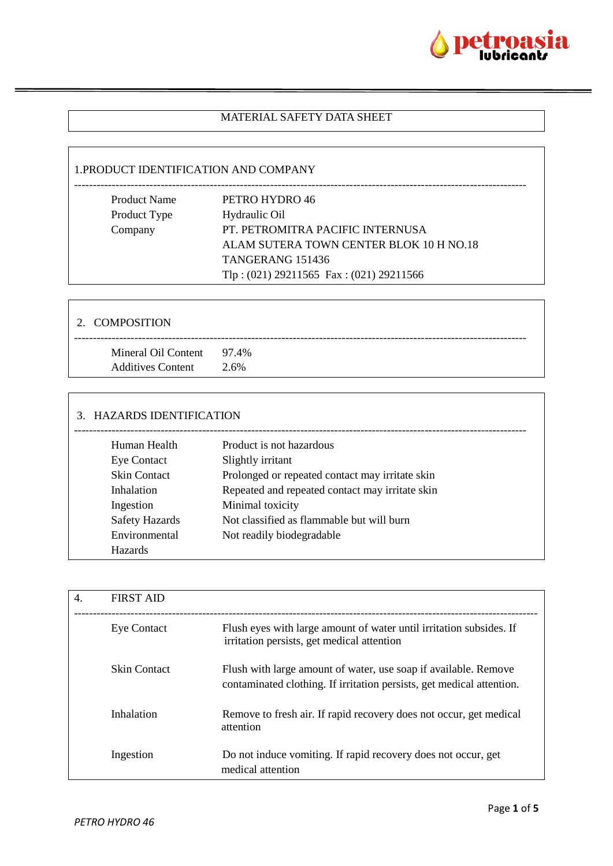

### MATERIAL SAFETY DATA SHEET

### 1.PRODUCT IDENTIFICATION AND COMPANY

| <b>Product Name</b> | PETRO HYDRO 46                              |
|---------------------|---------------------------------------------|
| Product Type        | Hydraulic Oil                               |
| Company             | PT. PETROMITRA PACIFIC INTERNUSA            |
|                     | ALAM SUTERA TOWN CENTER BLOK 10 H NO.18     |
|                     | TANGERANG 151436                            |
|                     | Tlp: $(021)$ 29211565 Fax: $(021)$ 29211566 |
|                     |                                             |

| 2. COMPOSITION                                        |      |
|-------------------------------------------------------|------|
| Mineral Oil Content 97.4%<br><b>Additives Content</b> | 2.6% |

### 3. HAZARDS IDENTIFICATION

| Human Health          | Product is not hazardous                        |
|-----------------------|-------------------------------------------------|
| <b>Eye Contact</b>    | Slightly irritant                               |
| <b>Skin Contact</b>   | Prolonged or repeated contact may irritate skin |
| Inhalation            | Repeated and repeated contact may irritate skin |
| Ingestion             | Minimal toxicity                                |
| <b>Safety Hazards</b> | Not classified as flammable but will burn       |
| Environmental         | Not readily biodegradable                       |
| <b>Hazards</b>        |                                                 |
|                       |                                                 |

| 4. | <b>FIRST AID</b>    |                                                                                                                                          |
|----|---------------------|------------------------------------------------------------------------------------------------------------------------------------------|
|    | <b>Eye Contact</b>  | Flush eyes with large amount of water until irritation subsides. If<br>irritation persists, get medical attention                        |
|    | <b>Skin Contact</b> | Flush with large amount of water, use soap if available. Remove<br>contaminated clothing. If irritation persists, get medical attention. |
|    | Inhalation          | Remove to fresh air. If rapid recovery does not occur, get medical<br>attention                                                          |
|    | Ingestion           | Do not induce vomiting. If rapid recovery does not occur, get<br>medical attention                                                       |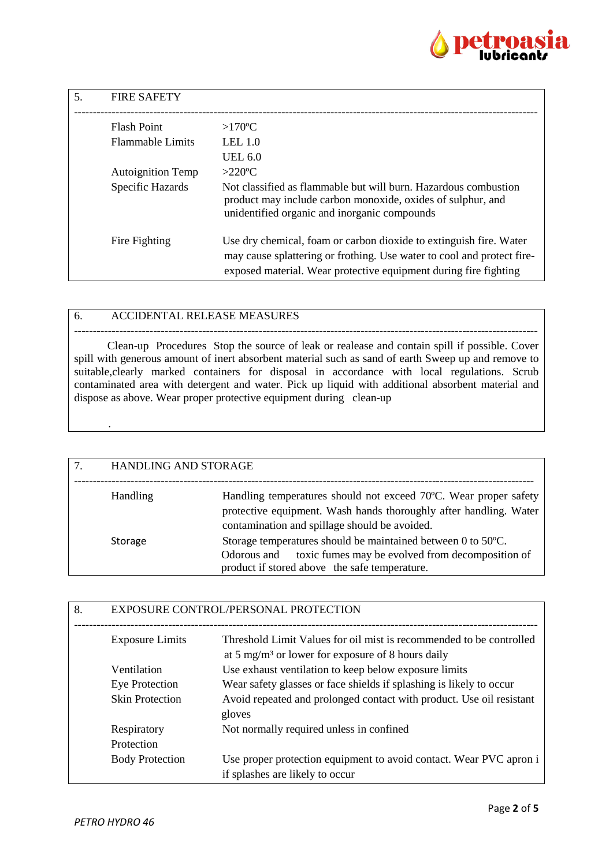

| .5. | <b>FIRE SAFETY</b>       |                                                                                                                                                                                                                  |
|-----|--------------------------|------------------------------------------------------------------------------------------------------------------------------------------------------------------------------------------------------------------|
|     | <b>Flash Point</b>       | $>170^{\circ}$ C                                                                                                                                                                                                 |
|     | <b>Flammable Limits</b>  | LEL $1.0$                                                                                                                                                                                                        |
|     |                          | UEL $6.0$                                                                                                                                                                                                        |
|     | <b>Autoignition Temp</b> | $>220$ °C                                                                                                                                                                                                        |
|     | Specific Hazards         | Not classified as flammable but will burn. Hazardous combustion<br>product may include carbon monoxide, oxides of sulphur, and<br>unidentified organic and inorganic compounds                                   |
|     | Fire Fighting            | Use dry chemical, foam or carbon dioxide to extinguish fire. Water<br>may cause splattering or frothing. Use water to cool and protect fire-<br>exposed material. Wear protective equipment during fire fighting |

### 6. ACCIDENTAL RELEASE MEASURES

--------------------------------------------------------------------------------------------------------------------------- Clean-up Procedures Stop the source of leak or realease and contain spill if possible. Cover spill with generous amount of inert absorbent material such as sand of earth Sweep up and remove to suitable, clearly marked containers for disposal in accordance with local regulations. Scrub contaminated area with detergent and water. Pick up liquid with additional absorbent material and dispose as above. Wear proper protective equipment during clean-up

| 7. | HANDLING AND STORAGE |                                                                                                                                                                                        |
|----|----------------------|----------------------------------------------------------------------------------------------------------------------------------------------------------------------------------------|
|    | Handling             | Handling temperatures should not exceed 70°C. Wear proper safety<br>protective equipment. Wash hands thoroughly after handling. Water<br>contamination and spillage should be avoided. |
|    | Storage              | Storage temperatures should be maintained between 0 to 50°C.<br>Odorous and toxic fumes may be evolved from decomposition of<br>product if stored above the safe temperature.          |

| 8. | EXPOSURE CONTROL/PERSONAL PROTECTION |                                                                                                                                      |
|----|--------------------------------------|--------------------------------------------------------------------------------------------------------------------------------------|
|    | <b>Exposure Limits</b>               | Threshold Limit Values for oil mist is recommended to be controlled<br>at 5 mg/m <sup>3</sup> or lower for exposure of 8 hours daily |
|    | Ventilation                          | Use exhaust ventilation to keep below exposure limits                                                                                |
|    | Eye Protection                       | Wear safety glasses or face shields if splashing is likely to occur                                                                  |
|    | <b>Skin Protection</b>               | Avoid repeated and prolonged contact with product. Use oil resistant<br>gloves                                                       |
|    | Respiratory                          | Not normally required unless in confined                                                                                             |
|    | Protection                           |                                                                                                                                      |
|    | <b>Body Protection</b>               | Use proper protection equipment to avoid contact. Wear PVC apron i<br>if splashes are likely to occur                                |

.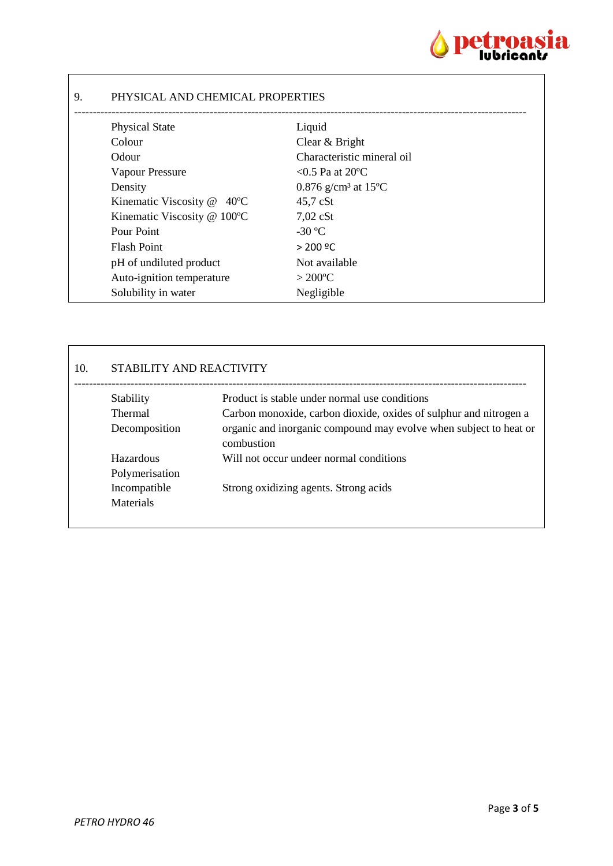

## 9. PHYSICAL AND CHEMICAL PROPERTIES

| <b>Physical State</b>                   | Liquid                                       |
|-----------------------------------------|----------------------------------------------|
| Colour                                  | Clear & Bright                               |
| Odour                                   | Characteristic mineral oil                   |
| Vapour Pressure                         | $<$ 0.5 Pa at 20 °C                          |
| Density                                 | 0.876 g/cm <sup>3</sup> at 15 <sup>o</sup> C |
| Kinematic Viscosity @<br>$40^{\circ}$ C | $45,7$ cSt                                   |
| Kinematic Viscosity @ 100°C             | $7,02$ cSt                                   |
| Pour Point                              | $-30$ °C                                     |
| <b>Flash Point</b>                      | $> 200$ °C                                   |
| pH of undiluted product                 | Not available                                |
| Auto-ignition temperature               | $>200^{\circ}C$                              |
| Solubility in water                     | Negligible                                   |
|                                         |                                              |

# 10. STABILITY AND REACTIVITY

| Stability        | Product is stable under normal use conditions                                   |
|------------------|---------------------------------------------------------------------------------|
| <b>Thermal</b>   | Carbon monoxide, carbon dioxide, oxides of sulphur and nitrogen a               |
| Decomposition    | organic and inorganic compound may evolve when subject to heat or<br>combustion |
| Hazardous        | Will not occur undeer normal conditions                                         |
| Polymerisation   |                                                                                 |
| Incompatible     | Strong oxidizing agents. Strong acids                                           |
| <b>Materials</b> |                                                                                 |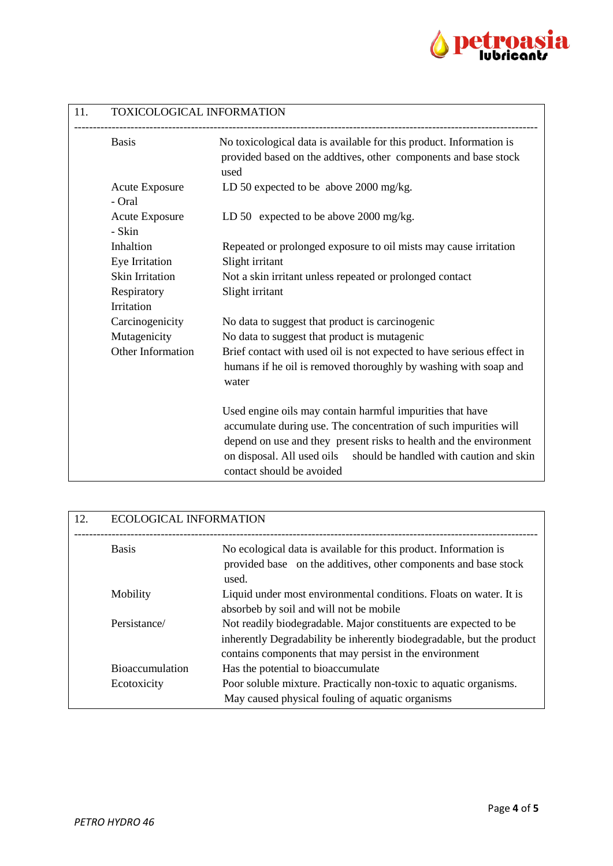

| 11. | TOXICOLOGICAL INFORMATION                            |                                                                                                                                                                                                                                                                                                           |  |
|-----|------------------------------------------------------|-----------------------------------------------------------------------------------------------------------------------------------------------------------------------------------------------------------------------------------------------------------------------------------------------------------|--|
|     | <b>Basis</b>                                         | No toxicological data is available for this product. Information is<br>provided based on the addtives, other components and base stock<br>used                                                                                                                                                            |  |
|     | <b>Acute Exposure</b><br>- Oral                      | LD 50 expected to be above $2000 \text{ mg/kg}$ .                                                                                                                                                                                                                                                         |  |
|     | <b>Acute Exposure</b><br>- Skin                      | LD 50 expected to be above 2000 mg/kg.                                                                                                                                                                                                                                                                    |  |
|     | Inhaltion<br>Eye Irritation                          | Repeated or prolonged exposure to oil mists may cause irritation<br>Slight irritant                                                                                                                                                                                                                       |  |
|     | Skin Irritation                                      | Not a skin irritant unless repeated or prolonged contact                                                                                                                                                                                                                                                  |  |
|     | Respiratory<br>Irritation                            | Slight irritant                                                                                                                                                                                                                                                                                           |  |
|     | Carcinogenicity<br>Mutagenicity<br>Other Information | No data to suggest that product is carcinogenic<br>No data to suggest that product is mutagenic<br>Brief contact with used oil is not expected to have serious effect in                                                                                                                                  |  |
|     |                                                      | humans if he oil is removed thoroughly by washing with soap and<br>water                                                                                                                                                                                                                                  |  |
|     |                                                      | Used engine oils may contain harmful impurities that have<br>accumulate during use. The concentration of such impurities will<br>depend on use and they present risks to health and the environment<br>on disposal. All used oils<br>should be handled with caution and skin<br>contact should be avoided |  |

| 12. | <b>ECOLOGICAL INFORMATION</b> |                                                                                                                                                                                                      |
|-----|-------------------------------|------------------------------------------------------------------------------------------------------------------------------------------------------------------------------------------------------|
|     | <b>Basis</b>                  | No ecological data is available for this product. Information is<br>provided base on the additives, other components and base stock<br>used.                                                         |
|     | Mobility                      | Liquid under most environmental conditions. Floats on water. It is<br>absorbeb by soil and will not be mobile                                                                                        |
|     | Persistance/                  | Not readily biodegradable. Major constituents are expected to be<br>inherently Degradability be inherently biodegradable, but the product<br>contains components that may persist in the environment |
|     | <b>Bioaccumulation</b>        | Has the potential to bioaccumulate                                                                                                                                                                   |
|     | Ecotoxicity                   | Poor soluble mixture. Practically non-toxic to aquatic organisms.<br>May caused physical fouling of aquatic organisms                                                                                |